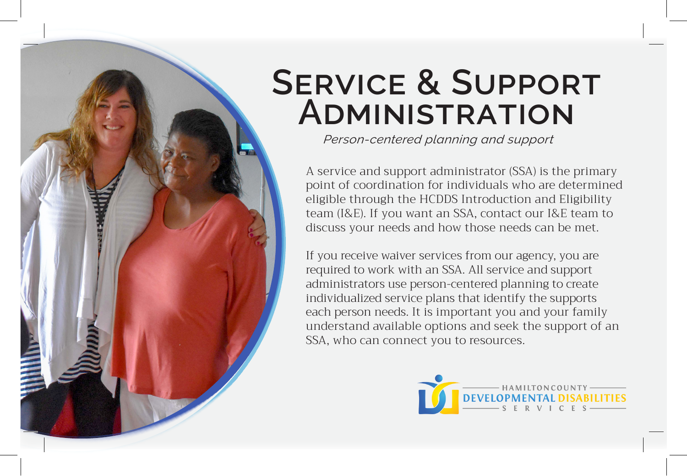## **SERVICE & SUPPORT Administration**

*Person-centered planning and support*

A service and support administrator (SSA) is the primary point of coordination for individuals who are determined eligible through the HCDDS Introduction and Eligibility team (I&E). If you want an SSA, contact our I&E team to discuss your needs and how those needs can be met.

If you receive waiver services from our agency, you are required to work with an SSA. All service and support administrators use person-centered planning to create individualized service plans that identify the supports each person needs. It is important you and your family understand available options and seek the support of an SSA, who can connect you to resources.